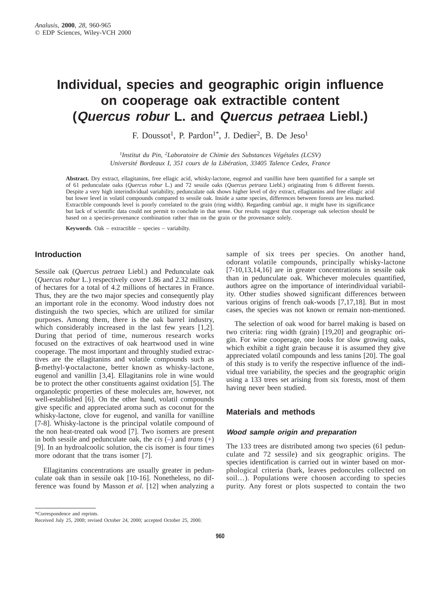# **Individual, species and geographic origin influence on cooperage oak extractible content (Quercus robur L. and Quercus petraea Liebl.)**

F. Doussot<sup>1</sup>, P. Pardon<sup>1\*</sup>, J. Dedier<sup>2</sup>, B. De Jeso<sup>1</sup>

*1Institut du Pin, 2Laboratoire de Chimie des Substances Végétales (LCSV) Université Bordeaux I, 351 cours de la Libération, 33405 Talence Cedex, France*

**Abstract.** Dry extract, ellagitanins, free ellagic acid, whisky-lactone, eugenol and vanillin have been quantified for a sample set of 61 pedunculate oaks (*Quercus robur* L.) and 72 sessile oaks (*Quercus petraea* Liebl.) originating from 6 different forests. Despite a very high interindividual variability, pedunculate oak shows higher level of dry extract, ellagitanins and free ellagic acid but lower level in volatil compounds compared to sessile oak. Inside a same species, differences between forests are less marked. Extractible compounds level is poorly correlated to the grain (ring width). Regarding cambial age, it might have its significance but lack of scientific data could not permit to conclude in that sense. Our results suggest that cooperage oak selection should be based on a species-provenance combination rather than on the grain or the provenance solely.

**Keywords**. Oak – extractible – species – variabilty.

## **Introduction**

Sessile oak (*Quercus petraea* Liebl.) and Pedunculate oak (*Quercus robur* L.) respectively cover 1.86 and 2.32 millions of hectares for a total of 4.2 millions of hectares in France. Thus, they are the two major species and consequently play an important role in the economy. Wood industry does not distinguish the two species, which are utilized for similar purposes. Among them, there is the oak barrel industry, which considerably increased in the last few years [1,2]. During that period of time, numerous research works focused on the extractives of oak heartwood used in wine cooperage. The most important and throughly studied extractives are the ellagitanins and volatile compounds such as β-methyl-γ-octalactone, better known as whisky-lactone, eugenol and vanillin [3,4]. Ellagitanins role in wine would be to protect the other constituents against oxidation [5]. The organoleptic properties of these molecules are, however, not well-established [6]. On the other hand, volatil compounds give specific and appreciated aroma such as coconut for the whisky-lactone, clove for eugenol, and vanilla for vanilline [7-8]. Whisky-lactone is the principal volatile compound of the non heat-treated oak wood [7]. Two isomers are present in both sessile and pedunculate oak, the *cis* (–) and *trans* (+) [9]. In an hydroalcoolic solution, the cis isomer is four times more odorant that the trans isomer [7].

Ellagitanins concentrations are usually greater in pedunculate oak than in sessile oak [10-16]. Nonetheless, no difference was found by Masson *et al*. [12] when analyzing a sample of six trees per species. On another hand, odorant volatile compounds, principally whisky-lactone [7-10,13,14,16] are in greater concentrations in sessile oak than in pedunculate oak. Whichever molecules quantified, authors agree on the importance of interindividual variability. Other studies showed significant differences between various origins of french oak-woods [7,17,18]. But in most cases, the species was not known or remain non-mentioned.

The selection of oak wood for barrel making is based on two criteria: ring width (grain) [19,20] and geographic origin. For wine cooperage, one looks for slow growing oaks, which exhibit a tight grain because it is assumed they give appreciated volatil compounds and less tanins [20]. The goal of this study is to verify the respective influence of the individual tree variability, the species and the geographic origin using a 133 trees set arising from six forests, most of them having never been studied.

## **Materials and methods**

#### **Wood sample origin and preparation**

The 133 trees are distributed among two species (61 pedunculate and 72 sessile) and six geographic origins. The species identification is carried out in winter based on morphological criteria (bark, leaves pedoncules collected on soil…). Populations were choosen according to species purity. Any forest or plots suspected to contain the two

<sup>\*</sup>Correspondence and reprints.

Received July 25, 2000; revised October 24, 2000; accepted October 25, 2000.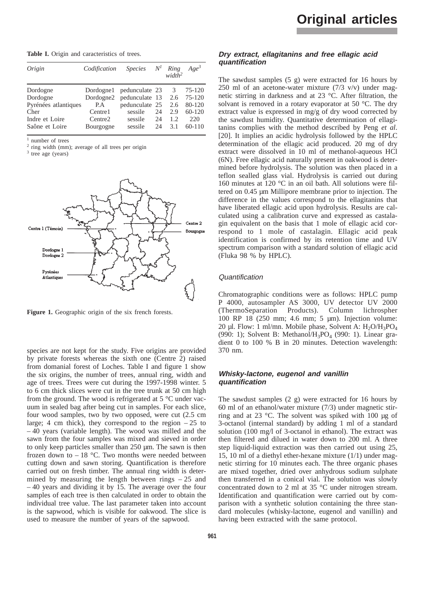# **Original articles**

**Table I.** Origin and caracteristics of trees.

| Origin               | Codification        | <b>Species</b> |    | $N^1$ Ring<br>width <sup>2</sup> | $Age^3$    |
|----------------------|---------------------|----------------|----|----------------------------------|------------|
| Dordogne             | Dordogne1           | pedunculate 23 |    | 3                                | 75-120     |
| Dordogne             | Dordogne2           | pedunculate 13 |    | 2.6                              | $75-120$   |
| Pyrénées atlantiques | P.A                 | pedunculate 25 |    | 2.6                              | 80-120     |
| Cher                 | Centre1             | sessile        | 24 | 2.9                              | $60 - 120$ |
| Indre et Loire       | Centre <sub>2</sub> | sessile        | 24 | 1.2.                             | 220        |
| Saône et Loire       | Bourgogne           | sessile        | 24 | 3.1                              | $60 - 110$ |

<sup>1</sup> number of trees

<sup>2</sup> ring width (mm); average of all trees per origin

<sup>3</sup> tree age (years)



Figure 1. Geographic origin of the six french forests.

species are not kept for the study. Five origins are provided by private forests whereas the sixth one (Centre 2) raised from domanial forest of Loches. Table I and figure 1 show the six origins, the number of trees, annual ring, width and age of trees. Trees were cut during the 1997-1998 winter. 5 to 6 cm thick slices were cut in the tree trunk at 50 cm high from the ground. The wood is refrigerated at 5 °C under vacuum in sealed bag after being cut in samples. For each slice, four wood samples, two by two opposed, were cut (2.5 cm large; 4 cm thick), they correspond to the region  $-25$  to – 40 years (variable length). The wood was milled and the sawn from the four samples was mixed and sieved in order to only keep particles smaller than 250 µm. The sawn is then frozen down to  $-18$  °C. Two months were needed between cutting down and sawn storing. Quantification is therefore carried out on fresh timber. The annual ring width is determined by measuring the length between rings  $-25$  and – 40 years and dividing it by 15. The average over the four samples of each tree is then calculated in order to obtain the individual tree value. The last parameter taken into account is the sapwood, which is visible for oakwood. The slice is used to measure the number of years of the sapwood.

# **Dry extract, ellagitanins and free ellagic acid quantification**

The sawdust samples (5 g) were extracted for 16 hours by 250 ml of an acetone-water mixture  $(7/3 \text{ v/v})$  under magnetic stirring in darkness and at 23 °C. After filtration, the solvant is removed in a rotary evaporator at 50 °C. The dry extract value is expressed in mg/g of dry wood corrected by the sawdust humidity. Quantitative determination of ellagitanins complies with the method described by Peng *et al*. [20]. It implies an acidic hydrolysis followed by the HPLC determination of the ellagic acid produced. 20 mg of dry extract were dissolved in 10 ml of methanol-aqueous HCl (6N). Free ellagic acid naturally present in oakwood is determined before hydrolysis. The solution was then placed in a teflon sealled glass vial. Hydrolysis is carried out during 160 minutes at 120 °C in an oil bath. All solutions were filtered on 0.45 µm Millipore membrane prior to injection. The difference in the values correspond to the ellagitanins that have liberated ellagic acid upon hydrolysis. Results are calculated using a calibration curve and expressed as castalagin equivalent on the basis that 1 mole of ellagic acid correspond to 1 mole of castalagin. Ellagic acid peak identification is confirmed by its retention time and UV spectrum comparison with a standard solution of ellagic acid (Fluka 98 % by HPLC).

#### Quantification

Chromatographic conditions were as follows: HPLC pump P 4000, autosampler AS 3000, UV detector UV 2000 (ThermoSeparation Products). Column 100 RP 18 (250 mm; 4.6 mm; 5 µm). Injection volume: 20 µl. Flow: 1 ml/mn. Mobile phase, Solvent A:  $H_2O/H_3PO_4$ (990: 1); Solvent B: Methanol/ $H_3PO_4$  (990: 1). Linear gradient 0 to 100 % B in 20 minutes. Detection wavelength: 370 nm.

#### **Whisky-lactone, eugenol and vanillin quantification**

The sawdust samples (2 g) were extracted for 16 hours by 60 ml of an ethanol/water mixture (7/3) under magnetic stirring and at 23 °C. The solvent was spiked with 100 µg of 3-octanol (internal standard) by adding 1 ml of a standard solution (100 mg/l of 3-octanol in ethanol). The extract was then filtered and dilued in water down to 200 ml. A three step liquid-liquid extraction was then carried out using 25, 15, 10 ml of a diethyl ether-hexane mixture (1/1) under magnetic stirring for 10 minutes each. The three organic phases are mixed together, dried over anhydrous sodium sulphate then transferred in a conical vial. The solution was slowly concentrated down to 2 ml at 35 °C under nitrogen stream. Identification and quantification were carried out by comparison with a synthetic solution containing the three standard molecules (whisky-lactone, eugenol and vanillin) and having been extracted with the same protocol.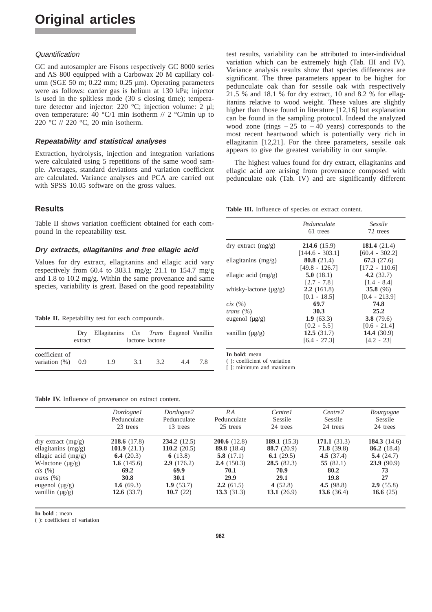# **Original articles**

#### **Quantification**

GC and autosampler are Fisons respectively GC 8000 series and AS 800 equipped with a Carbowax 20 M capillary column (SGE 50 m; 0.22 mm; 0.25 µm). Operating parameters were as follows: carrier gas is helium at 130 kPa; injector is used in the splitless mode (30 s closing time); temperature detector and injector: 220 °C; injection volume: 2 µl; oven temperature: 40 °C/1 min isotherm // 2 °C/min up to 220 °C // 220 °C, 20 min isotherm.

#### **Repeatability and statistical analyses**

Extraction, hydrolysis, injection and integration variations were calculated using 5 repetitions of the same wood sample. Averages, standard deviations and variation coefficient are calculated. Variance analyses and PCA are carried out with SPSS 10.05 software on the gross values.

#### **Results**

Table II shows variation coefficient obtained for each compound in the repeatability test.

#### **Dry extracts, ellagitanins and free ellagic acid**

Values for dry extract, ellagitanins and ellagic acid vary respectively from 60.4 to 303.1 mg/g; 21.1 to 154.7 mg/g and 1.8 to 10.2 mg/g. Within the same provenance and same species, variability is great. Based on the good repeatability

Table II. Repetability test for each compounds.

|                                        | extract | Dry Ellagitanins <i>Cis Trans</i> Eugenol Vanillin |     | lactone lactone |    |    |
|----------------------------------------|---------|----------------------------------------------------|-----|-----------------|----|----|
| coefficient of<br>variation $(\%)$ 0.9 |         | 1.9                                                | 3.1 | 3.2             | 44 | 78 |

**Table IV.** Influence of provenance on extract content.

test results, variability can be attributed to inter-individual variation which can be extremely high (Tab. III and IV). Variance analysis results show that species differences are significant. The three parameters appear to be higher for pedunculate oak than for sessile oak with respectively 21.5 % and 18.1 % for dry extract, 10 and 8.2 % for ellagitanins relative to wood weight. These values are slightly higher than those found in literature [12,16] but explanation can be found in the sampling protocol. Indeed the analyzed wood zone (rings  $-25$  to  $-40$  years) corresponds to the most recent heartwood which is potentially very rich in ellagitanin [12,21]. For the three parameters, sessile oak appears to give the greatest variability in our sample.

The highest values found for dry extract, ellagitanins and ellagic acid are arising from provenance composed with pedunculate oak (Tab. IV) and are significantly different

**Table III.** Influence of species on extract content.

|                                        | Pedunculate<br>61 trees                       | Sessile<br>72 trees                             |
|----------------------------------------|-----------------------------------------------|-------------------------------------------------|
| $\frac{dy}{dx}$ extract $\frac{mg}{g}$ | 214.6(15.9)<br>$[144.6 - 303.1]$              | 181.4 $(21.4)$<br>$[60.4 - 302.2]$              |
| ellagitanins $(mg/g)$                  | 80.8 $(21.4)$<br>$[49.8 - 126.7]$             | 67.3(27.6)<br>$[17.2 - 110.6]$                  |
| ellagic acid (mg/g)                    | 5.0(18.1)<br>$[2.7 - 7.8]$                    | 4.2 $(32.7)$<br>$[1.4 - 8.4]$                   |
| whisky-lactone $(\mu g/g)$             | 2.2(161.8)<br>$[0.1 - 18.5]$                  | 35.8(96)<br>$[0.4 - 213.9]$                     |
| cis(%)                                 | 69.7                                          | 74.8                                            |
| trans $(\%)$                           | 30.3                                          | 25.2                                            |
| eugenol $(\mu g/g)$                    | 1.9(63.3)                                     | 3.8(79.6)                                       |
| vanillin $(\mu g/g)$                   | $[0.2 - 5.5]$<br>12.5(31.7)<br>$[6.4 - 27.3]$ | $[0.6 - 21.4]$<br>14.4 $(30.9)$<br>$[4.2 - 23]$ |

**In bold**: mean

( ): coefficient of variation

[ ]: minimum and maximum

|                                        | <i>Dordognel</i><br>Pedunculate<br>23 trees | Dordogne2<br>Pedunculate<br>13 trees | P.A<br>Pedunculate<br>25 trees | Centre l<br>Sessile<br>24 trees | Centre <sub>2</sub><br>Sessile<br>24 trees | <i>Bourgogne</i><br>Sessile<br>24 trees |
|----------------------------------------|---------------------------------------------|--------------------------------------|--------------------------------|---------------------------------|--------------------------------------------|-----------------------------------------|
| $\frac{dy}{dx}$ extract $\frac{mg}{g}$ | 218.6(17.8)                                 | 234.2(12.5)                          | 200.6(12.8)                    | 189.1 $(15.3)$                  | 171.1(31.3)                                | 184.3 $(14.6)$                          |
| ellagitanins $(mg/g)$                  | 101.9 $(21.1)$                              | 110.2 $(20.5)$                       | 89.8 (18.4)                    | 88.7(20.9)                      | 71.8(39.8)                                 | 86.2 $(18.4)$                           |
| ellagic acid $(mg/g)$                  | 6.4 $(20.3)$                                | 6 $(13.8)$                           | 5.8 $(17.1)$                   | 6.1 $(29.5)$                    | 4.5 $(37.4)$                               | 5.4(24.7)                               |
| W-lactone $(\mu g/g)$                  | 1.6 $(145.6)$                               | 2.9(176.2)                           | 2.4(150.3)                     | 28.5(82.3)                      | 55 $(82.1)$                                | 23.9(90.9)                              |
| cis(%)                                 | 69.2                                        | 69.9                                 | 70.1                           | 70.9                            | 80.2                                       | 73                                      |
| <i>trans</i> $(\%)$                    | 30.8                                        | 30.1                                 | 29.9                           | 29.1                            | 19.8                                       | 27                                      |
| eugenol $(\mu g/g)$                    | 1.6 $(69.3)$                                | 1.9(53.7)                            | 2.2(61.5)                      | 4 $(52.8)$                      | 4.5 $(98.8)$                               | 2.9(55.8)                               |
| vanillin $(\mu g/g)$                   | 12.6(33.7)                                  | 10.7 $(22)$                          | 13.3 $(31.3)$                  | 13.1 $(26.9)$                   | 13.6 $(36.4)$                              | 16.6 $(25)$                             |

**In bold** : mean

( ): coefficient of variation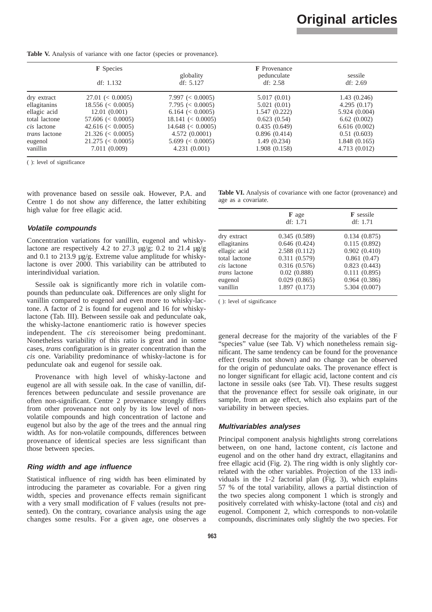# **Original articles**

Table V. Analysis of variance with one factor (species or provenance).

|                      | <b>F</b> Species     |                        | <b>F</b> Provenance     |                       |  |
|----------------------|----------------------|------------------------|-------------------------|-----------------------|--|
|                      | df: $1.132$          | globality<br>df: 5.127 | pedunculate<br>df: 2.58 | sessile<br>df: $2.69$ |  |
| dry extract          | $27.01 \le 0.0005$   | $7.997 \leq 0.0005$    | 5.017(0.01)             | 1.43(0.246)           |  |
| ellagitanins         | $18.556 \leq 0.0005$ | $7.795 \leq 0.0005$    | 5.021(0.01)             | 4.295(0.17)           |  |
| ellagic acid         | 12.01(0.001)         | $6.164 \leq 0.0005$    | 1.547(0.222)            | 5.924 (0.004)         |  |
| total lactone        | $57.606 \leq 0.0005$ | $18.141 \leq 0.0005$   | 0.623(0.54)             | 6.62(0.002)           |  |
| <i>cis</i> lactone   | $42.616 \le 0.0005$  | $14.648 \leq 0.0005$   | 0.435(0.649)            | 6.616(0.002)          |  |
| <i>trans</i> lactone | $21.326 \le 0.0005$  | 4.572(0.0001)          | 0.896(0.414)            | 0.51(0.603)           |  |
| eugenol              | $21.275 \leq 0.0005$ | 5.699 ( $< 0.0005$ )   | 1.49(0.234)             | 1.848(0.165)          |  |
| vanillin             | 7.011 (0.009)        | 4.231(0.001)           | 1.908 (0.158)           | 4.713(0.012)          |  |

( ): level of significance

with provenance based on sessile oak. However, P.A. and Centre 1 do not show any difference, the latter exhibiting high value for free ellagic acid.

#### **Volatile compounds**

Concentration variations for vanillin, eugenol and whiskylactone are respectively 4.2 to 27.3  $\mu$ g/g; 0.2 to 21.4  $\mu$ g/g and 0.1 to 213.9 µg/g. Extreme value amplitude for whiskylactone is over 2000. This variability can be attributed to interindividual variation.

Sessile oak is significantly more rich in volatile compounds than pedunculate oak. Differences are only slight for vanillin compared to eugenol and even more to whisky-lactone. A factor of 2 is found for eugenol and 16 for whiskylactone (Tab. III). Between sessile oak and pedunculate oak, the whisky-lactone enantiomeric ratio is however species independent. The *cis* stereoisomer being predominant. Nonetheless variability of this ratio is great and in some cases, *trans* configuration is in greater concentration than the *cis* one. Variability predominance of whisky-lactone is for pedunculate oak and eugenol for sessile oak.

Provenance with high level of whisky-lactone and eugenol are all with sessile oak. In the case of vanillin, differences between pedunculate and sessile provenance are often non-significant. Centre 2 provenance strongly differs from other provenance not only by its low level of nonvolatile compounds and high concentration of lactone and eugenol but also by the age of the trees and the annual ring width. As for non-volatile compounds, differences between provenance of identical species are less significant than those between species.

#### **Ring width and age influence**

Statistical influence of ring width has been eliminated by introducing the parameter as covariable. For a given ring width, species and provenance effects remain significant with a very small modification of F values (results not presented). On the contrary, covariance analysis using the age changes some results. For a given age, one observes a

|  |                     |  |  | <b>Table VI.</b> Analysis of covariance with one factor (provenance) and |  |
|--|---------------------|--|--|--------------------------------------------------------------------------|--|
|  | age as a covariate. |  |  |                                                                          |  |

|                      | F age<br>df: 1.71 | <b>F</b> sessile<br>df: 1.71 |
|----------------------|-------------------|------------------------------|
| dry extract          | 0.345(0.589)      | 0.134(0.875)                 |
| ellagitanins         | 0.646(0.424)      | 0.115(0.892)                 |
| ellagic acid         | 2.588(0.112)      | 0.902(0.410)                 |
| total lactone        | 0.311(0.579)      | 0.861(0.47)                  |
| cis lactone          | 0.316(0.576)      | 0.823(0.443)                 |
| <i>trans</i> lactone | 0.02(0.888)       | 0.111(0.895)                 |
| eugenol              | 0.029(0.865)      | 0.964(0.386)                 |
| vanillin             | 1.897 (0.173)     | 5.304 (0.007)                |

( ): level of significance

general decrease for the majority of the variables of the F "species" value (see Tab. V) which nonetheless remain significant. The same tendency can be found for the provenance effect (results not shown) and no change can be observed for the origin of pedunculate oaks. The provenance effect is no longer significant for ellagic acid, lactone content and *cis* lactone in sessile oaks (see Tab. VI). These results suggest that the provenance effect for sessile oak originate, in our sample, from an age effect, which also explains part of the variability in between species.

#### **Multivariables analyses**

Principal component analysis hightlights strong correlations between, on one hand, lactone content, *cis* lactone and eugenol and on the other hand dry extract, ellagitanins and free ellagic acid (Fig. 2). The ring width is only slightly correlated with the other variables. Projection of the 133 individuals in the 1-2 factorial plan (Fig. 3), which explains 57 % of the total variability, allows a partial distinction of the two species along component 1 which is strongly and positively correlated with whisky-lactone (total and *cis*) and eugenol. Component 2, which corresponds to non-volatile compounds, discriminates only slightly the two species. For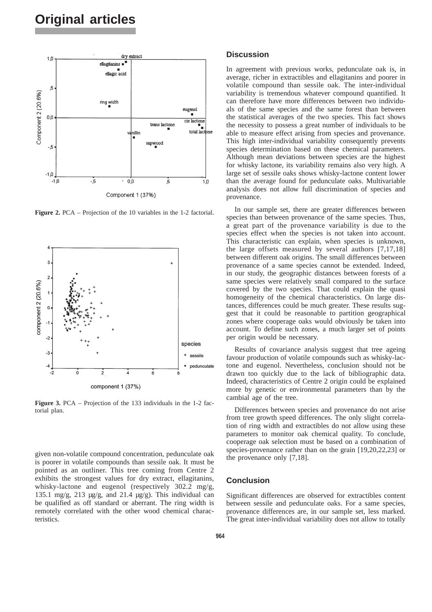

**Figure 2.** PCA – Projection of the 10 variables in the 1-2 factorial.



**Figure 3.** PCA – Projection of the 133 individuals in the 1-2 factorial plan.

given non-volatile compound concentration, pedunculate oak is poorer in volatile compounds than sessile oak. It must be pointed as an outliner. This tree coming from Centre 2 exhibits the strongest values for dry extract, ellagitanins, whisky-lactone and eugenol (respectively 302.2 mg/g, 135.1 mg/g, 213  $\mu$ g/g, and 21.4  $\mu$ g/g). This individual can be qualified as off standard or aberrant. The ring width is remotely correlated with the other wood chemical characteristics.

### **Discussion**

In agreement with previous works, pedunculate oak is, in average, richer in extractibles and ellagitanins and poorer in volatile compound than sessile oak. The inter-individual variability is tremendous whatever compound quantified. It can therefore have more differences between two individuals of the same species and the same forest than between the statistical averages of the two species. This fact shows the necessity to possess a great number of individuals to be able to measure effect arising from species and provenance. This high inter-individual variability consequently prevents species determination based on these chemical parameters. Although mean deviations between species are the highest for whisky lactone, its variability remains also very high. A large set of sessile oaks shows whisky-lactone content lower than the average found for pedunculate oaks. Multivariable analysis does not allow full discrimination of species and provenance.

In our sample set, there are greater differences between species than between provenance of the same species. Thus, a great part of the provenance variability is due to the species effect when the species is not taken into account. This characteristic can explain, when species is unknown, the large offsets measured by several authors [7,17,18] between different oak origins. The small differences between provenance of a same species cannot be extended. Indeed, in our study, the geographic distances between forests of a same species were relatively small compared to the surface covered by the two species. That could explain the quasi homogeneity of the chemical characteristics. On large distances, differences could be much greater. These results suggest that it could be reasonable to partition geographical zones where cooperage oaks would obviously be taken into account. To define such zones, a much larger set of points per origin would be necessary.

Results of covariance analysis suggest that tree ageing favour production of volatile compounds such as whisky-lactone and eugenol. Nevertheless, conclusion should not be drawn too quickly due to the lack of bibliographic data. Indeed, characteristics of Centre 2 origin could be explained more by genetic or environmental parameters than by the cambial age of the tree.

Differences between species and provenance do not arise from tree growth speed differences. The only slight correlation of ring width and extractibles do not allow using these parameters to monitor oak chemical quality. To conclude, cooperage oak selection must be based on a combination of species-provenance rather than on the grain [19,20,22,23] or the provenance only [7,18].

### **Conclusion**

Significant differences are observed for extractibles content between sessile and pedunculate oaks. For a same species, provenance differences are, in our sample set, less marked. The great inter-individual variability does not allow to totally